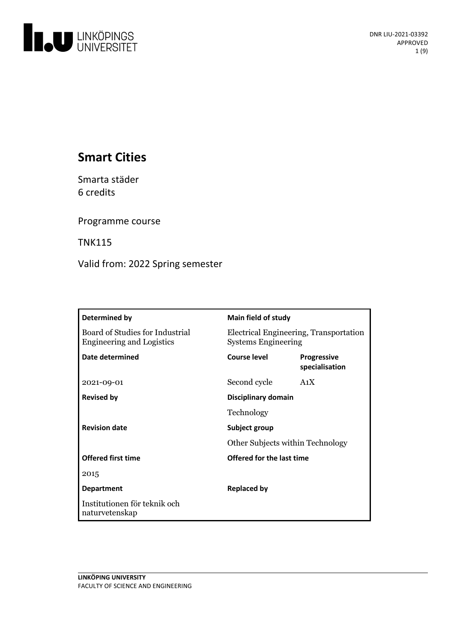

# **Smart Cities**

Smarta städer 6 credits

Programme course

TNK115

Valid from: 2022 Spring semester

| Determined by                                                       | <b>Main field of study</b>                                           |                               |
|---------------------------------------------------------------------|----------------------------------------------------------------------|-------------------------------|
| Board of Studies for Industrial<br><b>Engineering and Logistics</b> | Electrical Engineering, Transportation<br><b>Systems Engineering</b> |                               |
| Date determined                                                     | <b>Course level</b>                                                  | Progressive<br>specialisation |
| 2021-09-01                                                          | Second cycle                                                         | A <sub>1</sub> X              |
| <b>Revised by</b>                                                   | Disciplinary domain                                                  |                               |
|                                                                     | Technology                                                           |                               |
| <b>Revision date</b>                                                | Subject group                                                        |                               |
|                                                                     | Other Subjects within Technology                                     |                               |
| <b>Offered first time</b>                                           | Offered for the last time                                            |                               |
| 2015                                                                |                                                                      |                               |
| <b>Department</b>                                                   | <b>Replaced by</b>                                                   |                               |
| Institutionen för teknik och<br>naturvetenskap                      |                                                                      |                               |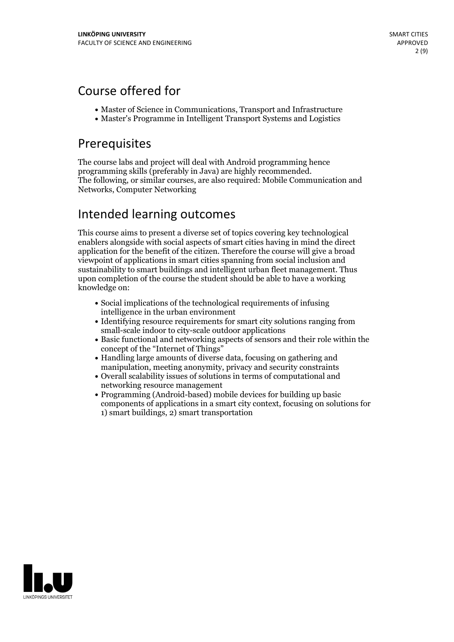## Course offered for

- Master of Science in Communications, Transport and Infrastructure
- Master's Programme in Intelligent Transport Systems and Logistics

## Prerequisites

The course labs and project will deal with Android programming hence<br>programming skills (preferably in Java) are highly recommended. The following, or similar courses, are also required: Mobile Communication and Networks, Computer Networking

# Intended learning outcomes

This course aims to present a diverse set of topics covering key technological enablers alongside with social aspects of smart cities having in mind the direct application for the benefit of the citizen. Therefore the course will give a broad viewpoint of applications in smart cities spanning from social inclusion and sustainability to smart buildings and intelligent urban fleet management. Thus upon completion of the course the student should be able to have a working knowledge on:

- Social implications of the technological requirements of infusing intelligence in the urban environment
- Identifying resource requirements for smart city solutions ranging from small-scale indoor to city-scale outdoor applications
- Basic functional and networking aspects of sensors and their role within the concept of the "Internet of Things" <br>• Handling large amounts of diverse data, focusing on gathering and
- manipulation, meeting anonymity, privacy and security constraints
- Overall scalability issues of solutions in terms of computational and networking resource management
- Programming (Android-based) mobile devices for building up basic components of applications in a smart city context, focusing on solutions for 1) smart buildings, 2) smart transportation

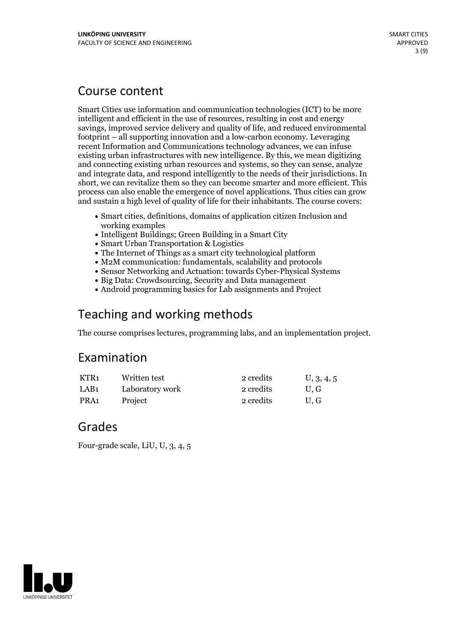## Course content

Smart Cities use information and communication technologies (ICT) to be more intelligent and efficient in the use of resources, resulting in cost and energy savings, improved service delivery and quality of life, and reduced environmental footprint – all supporting innovation and a low-carbon economy. Leveraging recent Information and Communications technology advances, we can infuse existing urban infrastructures with new intelligence. By this, we mean digitizing and connecting existing urban resources and systems, so they can sense, analyze and integrate data, and respond intelligently to the needs of their jurisdictions. In short, we can revitalize them so they can become smarter and more efficient. This process can also enable the emergence ofnovel applications. Thus cities can grow and sustain a high level of quality of life for their inhabitants. The course covers:

- Smart cities, definitions, domains of application citizen Inclusion and working examples
- Intelligent Buildings; Green Building in a Smart City
- Smart Urban Transportation & Logistics
- The Internet of Things as a smart city technological platform
- M2M communication: fundamentals, scalability and protocols
- Sensor Networking and Actuation: towards Cyber-Physical Systems
- Big Data: Crowdsourcing, Security and Data management
- Android programming basics for Lab assignments and Project

## Teaching and working methods

The course comprises lectures, programming labs, and an implementation project.

## Examination

| KTR1 | Written test    | 2 credits | U, 3, 4, 5 |
|------|-----------------|-----------|------------|
| LAB1 | Laboratory work | 2 credits | U.G        |
| PRA1 | Project         | 2 credits | U.G        |

## Grades

Four-grade scale, LiU, U, 3, 4, 5

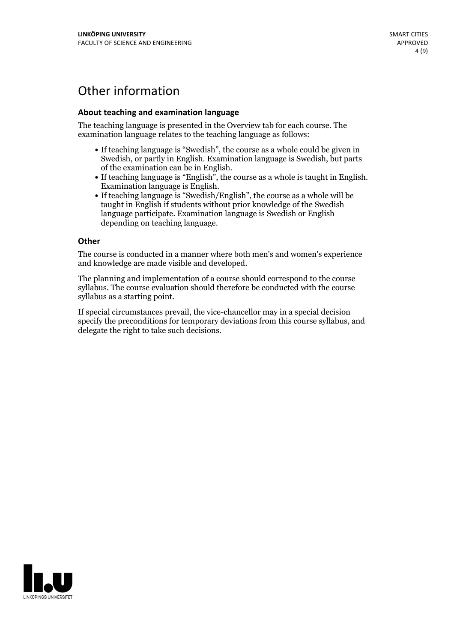# Other information

### **About teaching and examination language**

The teaching language is presented in the Overview tab for each course. The examination language relates to the teaching language as follows:

- If teaching language is "Swedish", the course as a whole could be given in Swedish, or partly in English. Examination language is Swedish, but parts
- of the examination can be in English. If teaching language is "English", the course as <sup>a</sup> whole is taught in English. Examination language is English. If teaching language is "Swedish/English", the course as <sup>a</sup> whole will be
- taught in English if students without prior knowledge of the Swedish language participate. Examination language is Swedish or English depending on teaching language.

#### **Other**

The course is conducted in a manner where both men's and women's experience and knowledge are made visible and developed.

The planning and implementation of a course should correspond to the course syllabus. The course evaluation should therefore be conducted with the course syllabus as a starting point.

If special circumstances prevail, the vice-chancellor may in a special decision specify the preconditions for temporary deviations from this course syllabus, and delegate the right to take such decisions.

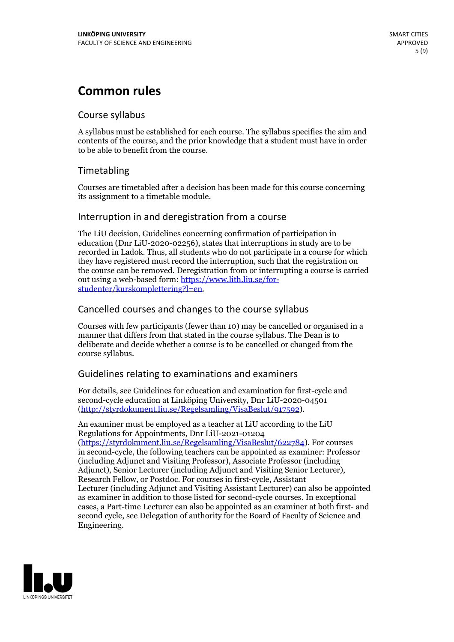# **Common rules**

## Course syllabus

A syllabus must be established for each course. The syllabus specifies the aim and contents of the course, and the prior knowledge that a student must have in order to be able to benefit from the course.

## Timetabling

Courses are timetabled after a decision has been made for this course concerning its assignment to a timetable module.

## Interruption in and deregistration from a course

The LiU decision, Guidelines concerning confirmation of participation in education (Dnr LiU-2020-02256), states that interruptions in study are to be recorded in Ladok. Thus, all students who do not participate in a course for which they have registered must record the interruption, such that the registration on the course can be removed. Deregistration from or interrupting a course is carried out using <sup>a</sup> web-based form: https://www.lith.liu.se/for- [studenter/kurskomplettering?l=en.](https://www.lith.liu.se/for-studenter/kurskomplettering?l=en)

## Cancelled courses and changes to the course syllabus

Courses with few participants (fewer than 10) may be cancelled or organised in a manner that differs from that stated in the course syllabus. The Dean is to deliberate and decide whether a course is to be cancelled or changed from the course syllabus.

## Guidelines relating to examinations and examiners

For details, see Guidelines for education and examination for first-cycle and second-cycle education at Linköping University, Dnr LiU-2020-04501 [\(http://styrdokument.liu.se/Regelsamling/VisaBeslut/917592\)](http://styrdokument.liu.se/Regelsamling/VisaBeslut/917592).

An examiner must be employed as a teacher at LiU according to the LiU Regulations for Appointments, Dnr LiU-2021-01204 [\(https://styrdokument.liu.se/Regelsamling/VisaBeslut/622784](https://styrdokument.liu.se/Regelsamling/VisaBeslut/622784)). For courses in second-cycle, the following teachers can be appointed as examiner: Professor (including Adjunct and Visiting Professor), Associate Professor (including Adjunct), Senior Lecturer (including Adjunct and Visiting Senior Lecturer), Research Fellow, or Postdoc. For courses in first-cycle, Assistant Lecturer (including Adjunct and Visiting Assistant Lecturer) can also be appointed as examiner in addition to those listed for second-cycle courses. In exceptional cases, a Part-time Lecturer can also be appointed as an examiner at both first- and second cycle, see Delegation of authority for the Board of Faculty of Science and Engineering.

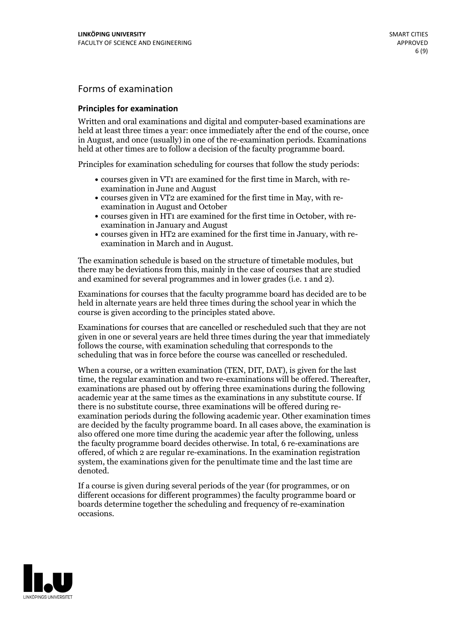## Forms of examination

### **Principles for examination**

Written and oral examinations and digital and computer-based examinations are held at least three times a year: once immediately after the end of the course, once in August, and once (usually) in one of the re-examination periods. Examinations held at other times are to follow a decision of the faculty programme board.

Principles for examination scheduling for courses that follow the study periods:

- courses given in VT1 are examined for the first time in March, with re-examination in June and August
- courses given in VT2 are examined for the first time in May, with re-examination in August and October
- courses given in HT1 are examined for the first time in October, with re-examination in January and August
- courses given in HT2 are examined for the first time in January, with re-examination in March and in August.

The examination schedule is based on the structure of timetable modules, but there may be deviations from this, mainly in the case of courses that are studied and examined for several programmes and in lower grades (i.e. 1 and 2).

Examinations for courses that the faculty programme board has decided are to be held in alternate years are held three times during the school year in which the course is given according to the principles stated above.

Examinations for courses that are cancelled orrescheduled such that they are not given in one or several years are held three times during the year that immediately follows the course, with examination scheduling that corresponds to the scheduling that was in force before the course was cancelled or rescheduled.

When a course, or a written examination (TEN, DIT, DAT), is given for the last time, the regular examination and two re-examinations will be offered. Thereafter, examinations are phased out by offering three examinations during the following academic year at the same times as the examinations in any substitute course. If there is no substitute course, three examinations will be offered during re- examination periods during the following academic year. Other examination times are decided by the faculty programme board. In all cases above, the examination is also offered one more time during the academic year after the following, unless the faculty programme board decides otherwise. In total, 6 re-examinations are offered, of which 2 are regular re-examinations. In the examination registration system, the examinations given for the penultimate time and the last time are denoted.

If a course is given during several periods of the year (for programmes, or on different occasions for different programmes) the faculty programme board or boards determine together the scheduling and frequency of re-examination occasions.

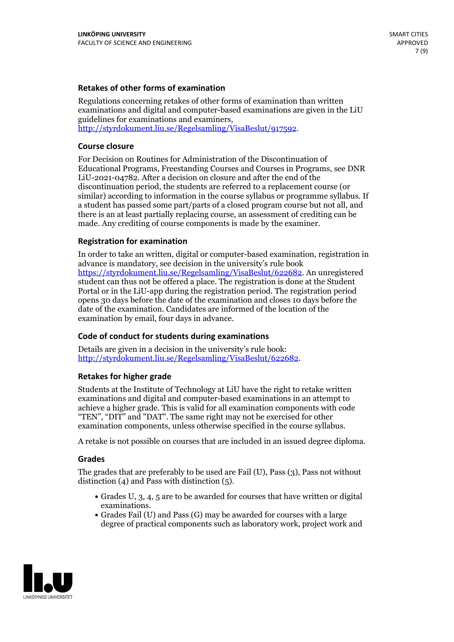### **Retakes of other forms of examination**

Regulations concerning retakes of other forms of examination than written examinations and digital and computer-based examinations are given in the LiU guidelines for examinations and examiners, [http://styrdokument.liu.se/Regelsamling/VisaBeslut/917592.](http://styrdokument.liu.se/Regelsamling/VisaBeslut/917592)

#### **Course closure**

For Decision on Routines for Administration of the Discontinuation of Educational Programs, Freestanding Courses and Courses in Programs, see DNR LiU-2021-04782. After a decision on closure and after the end of the discontinuation period, the students are referred to a replacement course (or similar) according to information in the course syllabus or programme syllabus. If a student has passed some part/parts of a closed program course but not all, and there is an at least partially replacing course, an assessment of crediting can be made. Any crediting of course components is made by the examiner.

### **Registration for examination**

In order to take an written, digital or computer-based examination, registration in advance is mandatory, see decision in the university's rule book [https://styrdokument.liu.se/Regelsamling/VisaBeslut/622682.](https://styrdokument.liu.se/Regelsamling/VisaBeslut/622682) An unregistered student can thus not be offered a place. The registration is done at the Student Portal or in the LiU-app during the registration period. The registration period opens 30 days before the date of the examination and closes 10 days before the date of the examination. Candidates are informed of the location of the examination by email, four days in advance.

### **Code of conduct for students during examinations**

Details are given in a decision in the university's rule book: <http://styrdokument.liu.se/Regelsamling/VisaBeslut/622682>.

#### **Retakes for higher grade**

Students at the Institute of Technology at LiU have the right to retake written examinations and digital and computer-based examinations in an attempt to achieve a higher grade. This is valid for all examination components with code "TEN", "DIT" and "DAT". The same right may not be exercised for other examination components, unless otherwise specified in the course syllabus.

A retake is not possible on courses that are included in an issued degree diploma.

#### **Grades**

The grades that are preferably to be used are Fail (U), Pass (3), Pass not without distinction  $(4)$  and Pass with distinction  $(5)$ .

- Grades U, 3, 4, 5 are to be awarded for courses that have written or digital examinations.<br>• Grades Fail (U) and Pass (G) may be awarded for courses with a large
- degree of practical components such as laboratory work, project work and

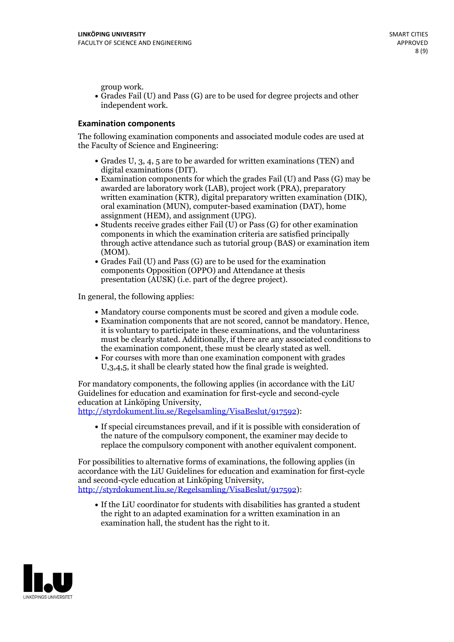group work.<br>• Grades Fail (U) and Pass (G) are to be used for degree projects and other independent work.

### **Examination components**

The following examination components and associated module codes are used at the Faculty of Science and Engineering:

- Grades U, 3, 4, 5 are to be awarded for written examinations (TEN) and
- digital examinations (DIT).<br>• Examination components for which the grades Fail (U) and Pass (G) may be awarded are laboratory work (LAB), project work (PRA), preparatory written examination (KTR), digital preparatory written examination (DIK), oral examination (MUN), computer-based examination (DAT), home
- assignment (HEM), and assignment (UPG).<br>• Students receive grades either Fail (U) or Pass (G) for other examination components in which the examination criteria are satisfied principally through active attendance such as tutorial group (BAS) or examination item
- (MOM).<br>• Grades Fail (U) and Pass (G) are to be used for the examination components Opposition (OPPO) and Attendance at thesis presentation (AUSK) (i.e. part of the degree project).

In general, the following applies:

- 
- Mandatory course components must be scored and given <sup>a</sup> module code. Examination components that are not scored, cannot be mandatory. Hence, it is voluntary to participate in these examinations, and the voluntariness must be clearly stated. Additionally, if there are any associated conditions to
- the examination component, these must be clearly stated as well.<br>• For courses with more than one examination component with grades U,3,4,5, it shall be clearly stated how the final grade is weighted.

For mandatory components, the following applies (in accordance with the LiU Guidelines for education and examination for first-cycle and second-cycle education at Linköping University,<br>[http://styrdokument.liu.se/Regelsamling/VisaBeslut/917592\)](http://styrdokument.liu.se/Regelsamling/VisaBeslut/917592):

If special circumstances prevail, and if it is possible with consideration of the nature of the compulsory component, the examiner may decide to replace the compulsory component with another equivalent component.

For possibilities to alternative forms of examinations, the following applies (in accordance with the LiU Guidelines for education and examination for first-cycle [http://styrdokument.liu.se/Regelsamling/VisaBeslut/917592\)](http://styrdokument.liu.se/Regelsamling/VisaBeslut/917592):

If the LiU coordinator for students with disabilities has granted a student the right to an adapted examination for a written examination in an examination hall, the student has the right to it.